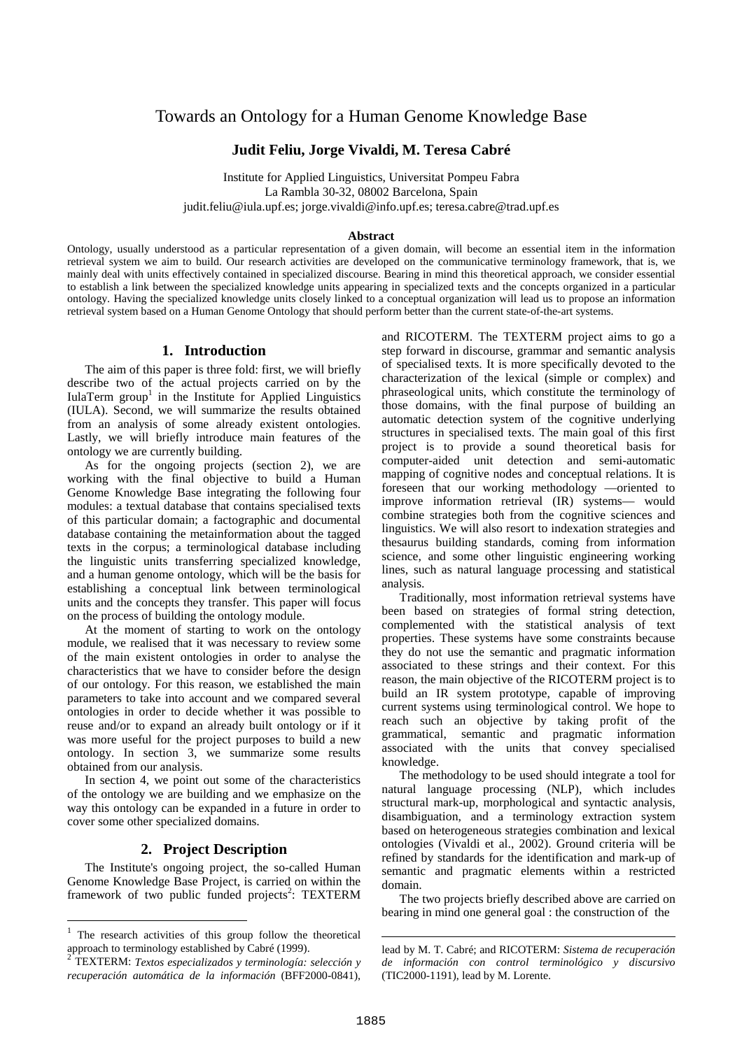# Towards an Ontology for a Human Genome Knowledge Base

### **Judit Feliu, Jorge Vivaldi, M. Teresa Cabré**

Institute for Applied Linguistics, Universitat Pompeu Fabra La Rambla 30-32, 08002 Barcelona, Spain judit.feliu@iula.upf.es; jorge.vivaldi@info.upf.es; teresa.cabre@trad.upf.es

#### **Abstract**

Ontology, usually understood as a particular representation of a given domain, will become an essential item in the information retrieval system we aim to build. Our research activities are developed on the communicative terminology framework, that is, we mainly deal with units effectively contained in specialized discourse. Bearing in mind this theoretical approach, we consider essential to establish a link between the specialized knowledge units appearing in specialized texts and the concepts organized in a particular ontology. Having the specialized knowledge units closely linked to a conceptual organization will lead us to propose an information retrieval system based on a Human Genome Ontology that should perform better than the current state-of-the-art systems.

### **1. Introduction**

The aim of this paper is three fold: first, we will briefly describe two of the actual projects carried on by the IulaTerm group<sup>1</sup> in the Institute for Applied Linguistics (IULA). Second, we will summarize the results obtained from an analysis of some already existent ontologies. Lastly, we will briefly introduce main features of the ontology we are currently building.

As for the ongoing projects (section 2), we are working with the final objective to build a Human Genome Knowledge Base integrating the following four modules: a textual database that contains specialised texts of this particular domain; a factographic and documental database containing the metainformation about the tagged texts in the corpus; a terminological database including the linguistic units transferring specialized knowledge, and a human genome ontology, which will be the basis for establishing a conceptual link between terminological units and the concepts they transfer. This paper will focus on the process of building the ontology module.

At the moment of starting to work on the ontology module, we realised that it was necessary to review some of the main existent ontologies in order to analyse the characteristics that we have to consider before the design of our ontology. For this reason, we established the main parameters to take into account and we compared several ontologies in order to decide whether it was possible to reuse and/or to expand an already built ontology or if it was more useful for the project purposes to build a new ontology. In section 3, we summarize some results obtained from our analysis.

In section 4, we point out some of the characteristics of the ontology we are building and we emphasize on the way this ontology can be expanded in a future in order to cover some other specialized domains.

### **2. Project Description**

The Institute's ongoing project, the so-called Human Genome Knowledge Base Project, is carried on within the framework of two public funded projects<sup>2</sup>: TEXTERM and RICOTERM. The TEXTERM project aims to go a step forward in discourse, grammar and semantic analysis of specialised texts. It is more specifically devoted to the characterization of the lexical (simple or complex) and phraseological units, which constitute the terminology of those domains, with the final purpose of building an automatic detection system of the cognitive underlying structures in specialised texts. The main goal of this first project is to provide a sound theoretical basis for computer-aided unit detection and semi-automatic mapping of cognitive nodes and conceptual relations. It is foreseen that our working methodology —oriented to improve information retrieval (IR) systems— would combine strategies both from the cognitive sciences and linguistics. We will also resort to indexation strategies and thesaurus building standards, coming from information science, and some other linguistic engineering working lines, such as natural language processing and statistical analysis.

Traditionally, most information retrieval systems have been based on strategies of formal string detection, complemented with the statistical analysis of text properties. These systems have some constraints because they do not use the semantic and pragmatic information associated to these strings and their context. For this reason, the main objective of the RICOTERM project is to build an IR system prototype, capable of improving current systems using terminological control. We hope to reach such an objective by taking profit of the grammatical, semantic and pragmatic information associated with the units that convey specialised knowledge.

The methodology to be used should integrate a tool for natural language processing (NLP), which includes structural mark-up, morphological and syntactic analysis, disambiguation, and a terminology extraction system based on heterogeneous strategies combination and lexical ontologies (Vivaldi et al., 2002). Ground criteria will be refined by standards for the identification and mark-up of semantic and pragmatic elements within a restricted domain.

The two projects briefly described above are carried on bearing in mind one general goal : the construction of the

<sup>&</sup>lt;sup>1</sup> The research activities of this group follow the theoretical approach to terminology established by Cabré (1999).

<sup>2</sup> TEXTERM: *Textos especializados y terminología: selección y recuperación automática de la información* (BFF2000-0841),

lead by M. T. Cabré; and RICOTERM: *Sistema de recuperación de información con control terminológico y discursivo* (TIC2000-1191), lead by M. Lorente.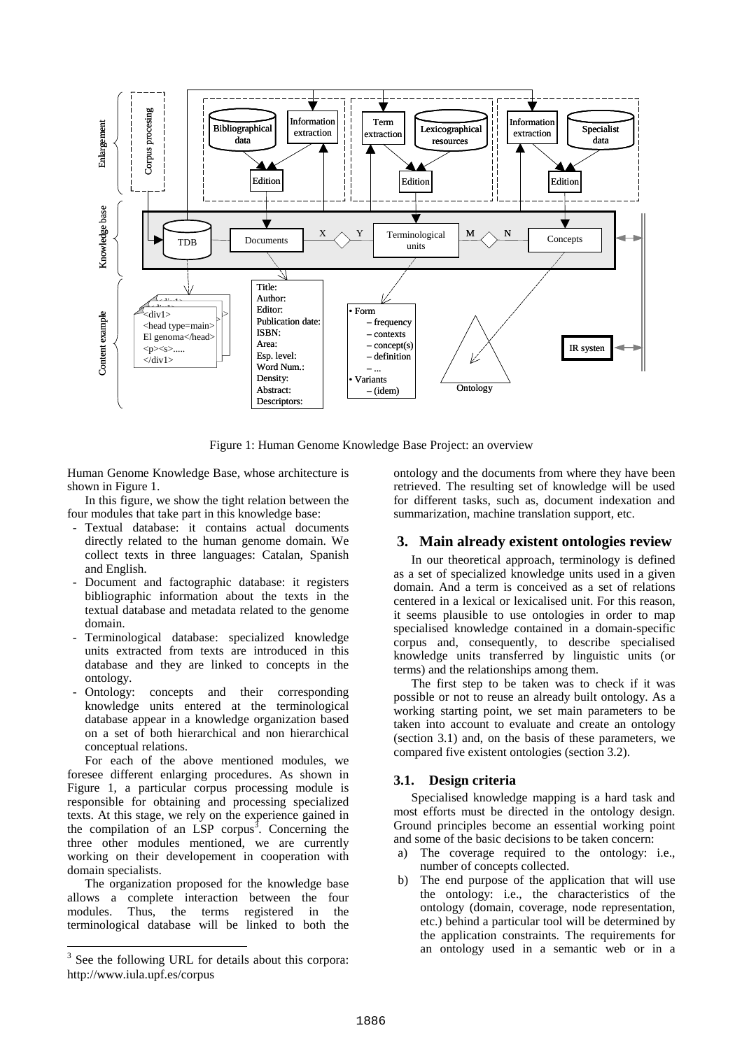

Figure 1: Human Genome Knowledge Base Project: an overview

Human Genome Knowledge Base, whose architecture is shown in Figure 1.

In this figure, we show the tight relation between the four modules that take part in this knowledge base:

- Textual database: it contains actual documents directly related to the human genome domain. We collect texts in three languages: Catalan, Spanish and English.
- Document and factographic database: it registers bibliographic information about the texts in the textual database and metadata related to the genome domain.
- Terminological database: specialized knowledge units extracted from texts are introduced in this database and they are linked to concepts in the ontology.
- Ontology: concepts and their corresponding knowledge units entered at the terminological database appear in a knowledge organization based on a set of both hierarchical and non hierarchical conceptual relations.

For each of the above mentioned modules, we foresee different enlarging procedures. As shown in Figure 1, a particular corpus processing module is responsible for obtaining and processing specialized texts. At this stage, we rely on the experience gained in the compilation of an LSP corpus<sup>3</sup>. Concerning the three other modules mentioned, we are currently working on their developement in cooperation with domain specialists.

The organization proposed for the knowledge base allows a complete interaction between the four modules. Thus, the terms registered in the terminological database will be linked to both the ontology and the documents from where they have been retrieved. The resulting set of knowledge will be used for different tasks, such as, document indexation and summarization, machine translation support, etc.

#### **3. Main already existent ontologies review**

In our theoretical approach, terminology is defined as a set of specialized knowledge units used in a given domain. And a term is conceived as a set of relations centered in a lexical or lexicalised unit. For this reason, it seems plausible to use ontologies in order to map specialised knowledge contained in a domain-specific corpus and, consequently, to describe specialised knowledge units transferred by linguistic units (or terms) and the relationships among them.

The first step to be taken was to check if it was possible or not to reuse an already built ontology. As a working starting point, we set main parameters to be taken into account to evaluate and create an ontology (section 3.1) and, on the basis of these parameters, we compared five existent ontologies (section 3.2).

#### **3.1. Design criteria**

Specialised knowledge mapping is a hard task and most efforts must be directed in the ontology design. Ground principles become an essential working point and some of the basic decisions to be taken concern:

- a) The coverage required to the ontology: i.e., number of concepts collected.
- b) The end purpose of the application that will use the ontology: i.e., the characteristics of the ontology (domain, coverage, node representation, etc.) behind a particular tool will be determined by the application constraints. The requirements for an ontology used in a semantic web or in a

 <sup>3</sup>  $3$  See the following URL for details about this corpora: http://www.iula.upf.es/corpus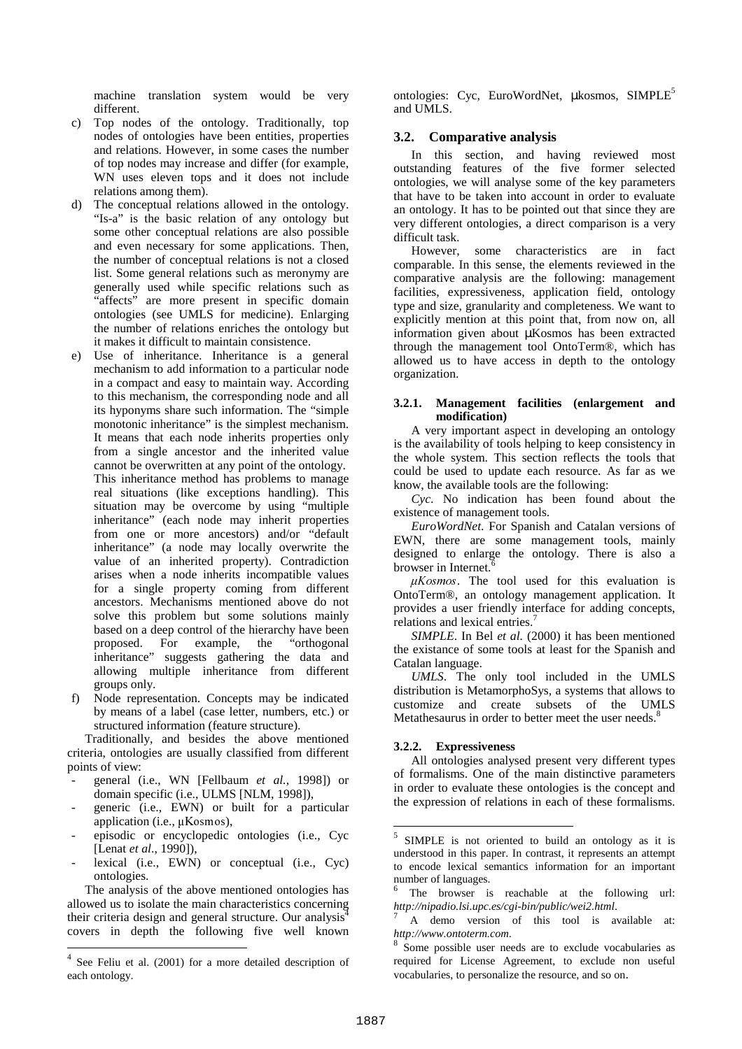machine translation system would be very different.

- c) Top nodes of the ontology. Traditionally, top nodes of ontologies have been entities, properties and relations. However, in some cases the number of top nodes may increase and differ (for example, WN uses eleven tops and it does not include relations among them).
- d) The conceptual relations allowed in the ontology. "Is-a" is the basic relation of any ontology but some other conceptual relations are also possible and even necessary for some applications. Then, the number of conceptual relations is not a closed list. Some general relations such as meronymy are generally used while specific relations such as "affects" are more present in specific domain ontologies (see UMLS for medicine). Enlarging the number of relations enriches the ontology but it makes it difficult to maintain consistence.
- e) Use of inheritance. Inheritance is a general mechanism to add information to a particular node in a compact and easy to maintain way. According to this mechanism, the corresponding node and all its hyponyms share such information. The "simple monotonic inheritance" is the simplest mechanism. It means that each node inherits properties only from a single ancestor and the inherited value cannot be overwritten at any point of the ontology. This inheritance method has problems to manage real situations (like exceptions handling). This situation may be overcome by using "multiple inheritance" (each node may inherit properties from one or more ancestors) and/or "default inheritance" (a node may locally overwrite the value of an inherited property). Contradiction arises when a node inherits incompatible values for a single property coming from different ancestors. Mechanisms mentioned above do not solve this problem but some solutions mainly based on a deep control of the hierarchy have been proposed. For example, the "orthogonal inheritance" suggests gathering the data and allowing multiple inheritance from different groups only.
- f) Node representation. Concepts may be indicated by means of a label (case letter, numbers, etc.) or structured information (feature structure).

Traditionally, and besides the above mentioned criteria, ontologies are usually classified from different points of view:

- general (i.e., WN [Fellbaum *et al.*, 1998]) or domain specific (i.e., ULMS [NLM, 1998]),
- generic (i.e., EWN) or built for a particular application (i.e., µKosmos),
- episodic or encyclopedic ontologies (i.e., Cyc [Lenat *et al*., 1990]),
- lexical (i.e., EWN) or conceptual (i.e., Cyc) ontologies.

The analysis of the above mentioned ontologies has allowed us to isolate the main characteristics concerning their criteria design and general structure. Our analysis<sup>4</sup> covers in depth the following five well known

ontologies: Cyc. EuroWordNet, ukosmos, SIMPLE<sup>5</sup> and UMLS.

# **3.2. Comparative analysis**

In this section, and having reviewed most outstanding features of the five former selected ontologies, we will analyse some of the key parameters that have to be taken into account in order to evaluate an ontology. It has to be pointed out that since they are very different ontologies, a direct comparison is a very difficult task.

However, some characteristics are in fact comparable. In this sense, the elements reviewed in the comparative analysis are the following: management facilities, expressiveness, application field, ontology type and size, granularity and completeness. We want to explicitly mention at this point that, from now on, all information given about µKosmos has been extracted through the management tool OntoTerm®, which has allowed us to have access in depth to the ontology organization.

#### **3.2.1. Management facilities (enlargement and modification)**

A very important aspect in developing an ontology is the availability of tools helping to keep consistency in the whole system. This section reflects the tools that could be used to update each resource. As far as we know, the available tools are the following:

*Cyc*. No indication has been found about the existence of management tools.

*EuroWordNet*. For Spanish and Catalan versions of EWN, there are some management tools, mainly designed to enlarge the ontology. There is also a browser in Internet.

 $\mu Kosmos$ . The tool used for this evaluation is OntoTerm®, an ontology management application. It provides a user friendly interface for adding concepts, relations and lexical entries.<sup>7</sup>

*SIMPLE*. In Bel *et al.* (2000) it has been mentioned the existance of some tools at least for the Spanish and Catalan language.

*UMLS*. The only tool included in the UMLS distribution is MetamorphoSys, a systems that allows to customize and create subsets of the UMLS Metathesaurus in order to better meet the user needs.<sup>8</sup>

### **3.2.2. Expressiveness**

All ontologies analysed present very different types of formalisms. One of the main distinctive parameters in order to evaluate these ontologies is the concept and the expression of relations in each of these formalisms.

 <sup>4</sup> See Feliu et al. (2001) for a more detailed description of each ontology.

<sup>&</sup>lt;sup>5</sup> SIMPLE is not oriented to build an ontology as it is understood in this paper. In contrast, it represents an attempt to encode lexical semantics information for an important number of languages.

The browser is reachable at the following url: *http://nipadio.lsi.upc.es/cgi-bin/public/wei2.html*. 7 A demo version of this tool is available at:

*http://www.ontoterm.com.*<br><sup>8</sup> Some possible user needs are to exclude vocabularies as

required for License Agreement, to exclude non useful vocabularies, to personalize the resource, and so on.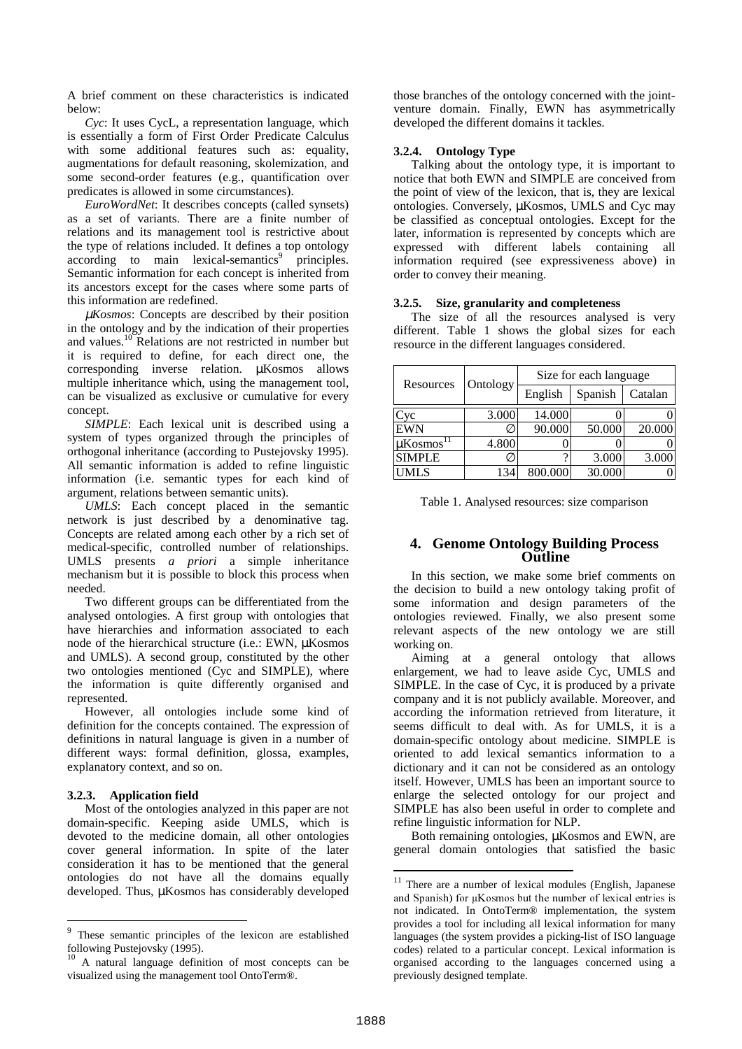A brief comment on these characteristics is indicated below:

*Cyc*: It uses CycL, a representation language, which is essentially a form of First Order Predicate Calculus with some additional features such as: equality, augmentations for default reasoning, skolemization, and some second-order features (e.g., quantification over predicates is allowed in some circumstances).

*EuroWordNet*: It describes concepts (called synsets) as a set of variants. There are a finite number of relations and its management tool is restrictive about the type of relations included. It defines a top ontology according to main lexical-semantics<sup>9</sup> principles. Semantic information for each concept is inherited from its ancestors except for the cases where some parts of this information are redefined.

µ*Kosmos*: Concepts are described by their position in the ontology and by the indication of their properties and values.10 Relations are not restricted in number but it is required to define, for each direct one, the corresponding inverse relation. µKosmos allows multiple inheritance which, using the management tool, can be visualized as exclusive or cumulative for every concept.

*SIMPLE*: Each lexical unit is described using a system of types organized through the principles of orthogonal inheritance (according to Pustejovsky 1995). All semantic information is added to refine linguistic information (i.e. semantic types for each kind of argument, relations between semantic units).

*UMLS*: Each concept placed in the semantic network is just described by a denominative tag. Concepts are related among each other by a rich set of medical-specific, controlled number of relationships. UMLS presents *a priori* a simple inheritance mechanism but it is possible to block this process when needed.

Two different groups can be differentiated from the analysed ontologies. A first group with ontologies that have hierarchies and information associated to each node of the hierarchical structure (i.e.: EWN, µKosmos and UMLS). A second group, constituted by the other two ontologies mentioned (Cyc and SIMPLE), where the information is quite differently organised and represented.

However, all ontologies include some kind of definition for the concepts contained. The expression of definitions in natural language is given in a number of different ways: formal definition, glossa, examples, explanatory context, and so on.

### **3.2.3. Application field**

Most of the ontologies analyzed in this paper are not domain-specific. Keeping aside UMLS, which is devoted to the medicine domain, all other ontologies cover general information. In spite of the later consideration it has to be mentioned that the general ontologies do not have all the domains equally developed. Thus, µKosmos has considerably developed those branches of the ontology concerned with the jointventure domain. Finally, EWN has asymmetrically developed the different domains it tackles.

#### **3.2.4. Ontology Type**

Talking about the ontology type, it is important to notice that both EWN and SIMPLE are conceived from the point of view of the lexicon, that is, they are lexical ontologies. Conversely, µKosmos, UMLS and Cyc may be classified as conceptual ontologies. Except for the later, information is represented by concepts which are expressed with different labels containing all information required (see expressiveness above) in order to convey their meaning.

#### **3.2.5. Size, granularity and completeness**

The size of all the resources analysed is very different. Table 1 shows the global sizes for each resource in the different languages considered.

| Resources                 | Ontology | Size for each language |         |         |
|---------------------------|----------|------------------------|---------|---------|
|                           |          | English                | Spanish | Catalan |
| vc                        | 3.000    | 14.000                 |         |         |
| <b>EWN</b>                |          | 90.000                 | 50.000  | 20.000  |
| $\mu$ Kosmos <sup>1</sup> | 4.800    |                        |         |         |
| <b>SIMPLE</b>             |          |                        | 3.000   | 3.000   |
| ML S                      |          | 800.000                | 30.000  |         |

Table 1. Analysed resources: size comparison

## **4. Genome Ontology Building Process Outline**

In this section, we make some brief comments on the decision to build a new ontology taking profit of some information and design parameters of the ontologies reviewed. Finally, we also present some relevant aspects of the new ontology we are still working on.

Aiming at a general ontology that allows enlargement, we had to leave aside Cyc, UMLS and SIMPLE. In the case of Cyc, it is produced by a private company and it is not publicly available. Moreover, and according the information retrieved from literature, it seems difficult to deal with. As for UMLS, it is a domain-specific ontology about medicine. SIMPLE is oriented to add lexical semantics information to a dictionary and it can not be considered as an ontology itself. However, UMLS has been an important source to enlarge the selected ontology for our project and SIMPLE has also been useful in order to complete and refine linguistic information for NLP.

Both remaining ontologies,  $\mu$ Kosmos and EWN, are general domain ontologies that satisfied the basic

 <sup>9</sup> These semantic principles of the lexicon are established following Pustejovsky (1995).

<sup>10</sup> A natural language definition of most concepts can be visualized using the management tool OntoTerm®.

<sup>&</sup>lt;sup>11</sup> There are a number of lexical modules (English, Japanese and Spanish) for µKosmos but the number of lexical entries is not indicated. In OntoTerm® implementation, the system provides a tool for including all lexical information for many languages (the system provides a picking-list of ISO language codes) related to a particular concept. Lexical information is organised according to the languages concerned using a previously designed template.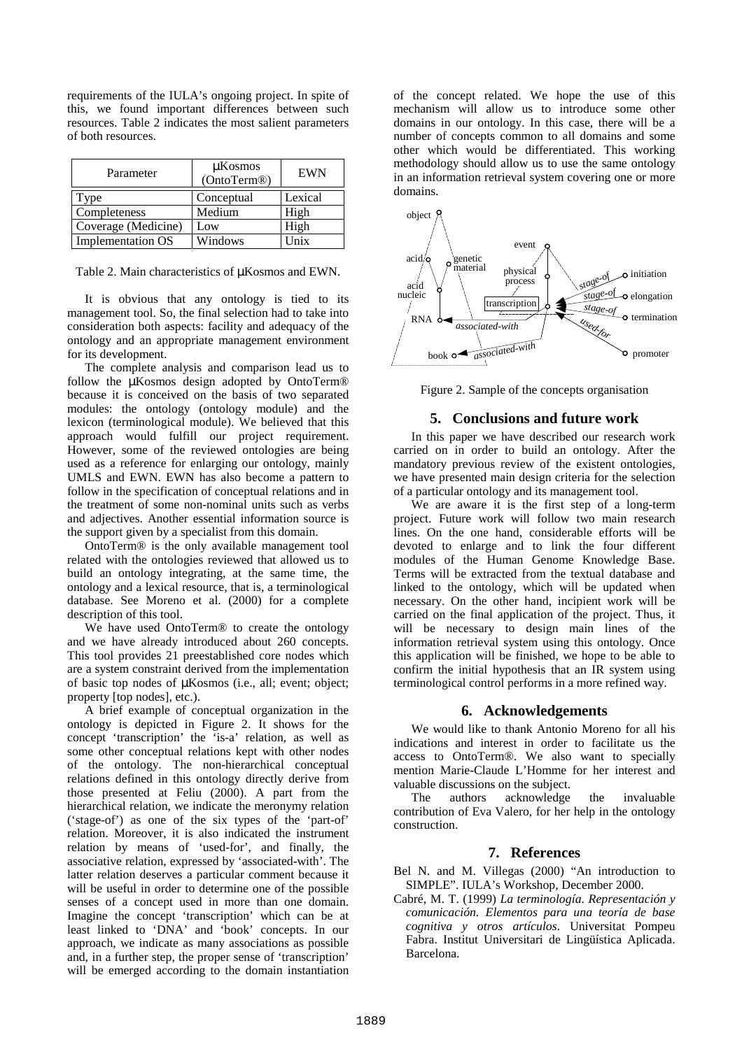requirements of the IULA's ongoing project. In spite of this, we found important differences between such resources. Table 2 indicates the most salient parameters of both resources.

| Parameter                | $\mu$ Kosmos<br>(OntoTerm®) | <b>EWN</b> |
|--------------------------|-----------------------------|------------|
| l'ype                    | Conceptual                  | Lexical    |
| Completeness             | Medium                      | High       |
| Coverage (Medicine)      | Low                         | High       |
| <b>Implementation OS</b> | Windows                     | $\ln$ ix   |

Table 2. Main characteristics of  $\mu$ Kosmos and EWN.

It is obvious that any ontology is tied to its management tool. So, the final selection had to take into consideration both aspects: facility and adequacy of the ontology and an appropriate management environment for its development.

The complete analysis and comparison lead us to follow the µKosmos design adopted by OntoTerm® because it is conceived on the basis of two separated modules: the ontology (ontology module) and the lexicon (terminological module). We believed that this approach would fulfill our project requirement. However, some of the reviewed ontologies are being used as a reference for enlarging our ontology, mainly UMLS and EWN. EWN has also become a pattern to follow in the specification of conceptual relations and in the treatment of some non-nominal units such as verbs and adjectives. Another essential information source is the support given by a specialist from this domain.

OntoTerm® is the only available management tool related with the ontologies reviewed that allowed us to build an ontology integrating, at the same time, the ontology and a lexical resource, that is, a terminological database. See Moreno et al. (2000) for a complete description of this tool.

We have used OntoTerm® to create the ontology and we have already introduced about 260 concepts. This tool provides 21 preestablished core nodes which are a system constraint derived from the implementation of basic top nodes of µKosmos (i.e., all; event; object; property [top nodes], etc.).

A brief example of conceptual organization in the ontology is depicted in Figure 2. It shows for the concept 'transcription' the 'is-a' relation, as well as some other conceptual relations kept with other nodes of the ontology. The non-hierarchical conceptual relations defined in this ontology directly derive from those presented at Feliu (2000). A part from the hierarchical relation, we indicate the meronymy relation ('stage-of') as one of the six types of the 'part-of' relation. Moreover, it is also indicated the instrument relation by means of 'used-for', and finally, the associative relation, expressed by 'associated-with'. The latter relation deserves a particular comment because it will be useful in order to determine one of the possible senses of a concept used in more than one domain. Imagine the concept 'transcription' which can be at least linked to 'DNA' and 'book' concepts. In our approach, we indicate as many associations as possible and, in a further step, the proper sense of 'transcription' will be emerged according to the domain instantiation

of the concept related. We hope the use of this mechanism will allow us to introduce some other domains in our ontology. In this case, there will be a number of concepts common to all domains and some other which would be differentiated. This working methodology should allow us to use the same ontology in an information retrieval system covering one or more domains.



Figure 2. Sample of the concepts organisation

### **5. Conclusions and future work**

In this paper we have described our research work carried on in order to build an ontology. After the mandatory previous review of the existent ontologies, we have presented main design criteria for the selection of a particular ontology and its management tool.

We are aware it is the first step of a long-term project. Future work will follow two main research lines. On the one hand, considerable efforts will be devoted to enlarge and to link the four different modules of the Human Genome Knowledge Base. Terms will be extracted from the textual database and linked to the ontology, which will be updated when necessary. On the other hand, incipient work will be carried on the final application of the project. Thus, it will be necessary to design main lines of the information retrieval system using this ontology. Once this application will be finished, we hope to be able to confirm the initial hypothesis that an IR system using terminological control performs in a more refined way.

### **6. Acknowledgements**

We would like to thank Antonio Moreno for all his indications and interest in order to facilitate us the access to OntoTerm®. We also want to specially mention Marie-Claude L'Homme for her interest and valuable discussions on the subject.

The authors acknowledge the invaluable contribution of Eva Valero, for her help in the ontology construction.

### **7. References**

- Bel N. and M. Villegas (2000) "An introduction to SIMPLE". IULA's Workshop, December 2000.
- Cabré, M. T. (1999) *La terminología. Representación y comunicación. Elementos para una teoría de base cognitiva y otros artículos*. Universitat Pompeu Fabra. Institut Universitari de Lingüística Aplicada. Barcelona.